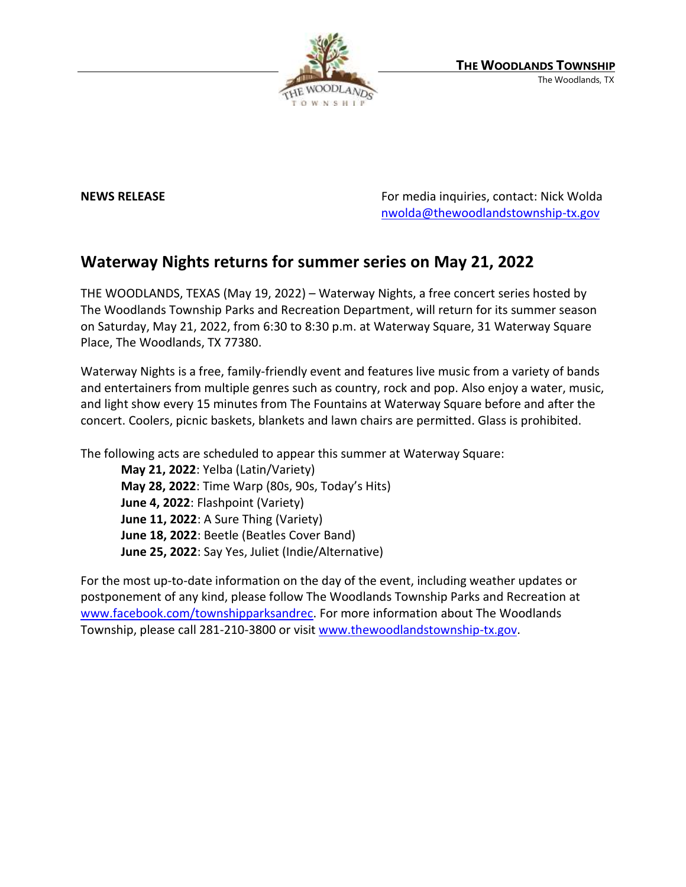

**NEWS RELEASE NEWS RELEASE** *RELEASE REWS* **RELEASE** *REWS* **RELEASE** *REMONDER <b>PERIODIS REMONDER <b><i>RELEASE REMONDER <b>PERIODIS REMONDER <b>PERIODIS REMONDER <b>PERIODIS REMONDER <b>PERIODIS* [nwolda@thewoodlandstownship-tx.gov](mailto:nwolda@thewoodlandstownship-tx.gov)

## **Waterway Nights returns for summer series on May 21, 2022**

THE WOODLANDS, TEXAS (May 19, 2022) – Waterway Nights, a free concert series hosted by The Woodlands Township Parks and Recreation Department, will return for its summer season on Saturday, May 21, 2022, from 6:30 to 8:30 p.m. at Waterway Square, 31 Waterway Square Place, The Woodlands, TX 77380.

Waterway Nights is a free, family-friendly event and features live music from a variety of bands and entertainers from multiple genres such as country, rock and pop. Also enjoy a water, music, and light show every 15 minutes from The Fountains at Waterway Square before and after the concert. Coolers, picnic baskets, blankets and lawn chairs are permitted. Glass is prohibited.

The following acts are scheduled to appear this summer at Waterway Square:

**May 21, 2022**: Yelba (Latin/Variety) **May 28, 2022**: Time Warp (80s, 90s, Today's Hits) **June 4, 2022**: Flashpoint (Variety) **June 11, 2022**: A Sure Thing (Variety) **June 18, 2022**: Beetle (Beatles Cover Band) **June 25, 2022**: Say Yes, Juliet (Indie/Alternative)

For the most up-to-date information on the day of the event, including weather updates or postponement of any kind, please follow The Woodlands Township Parks and Recreation at [www.facebook.com/townshipparksandrec.](http://www.facebook.com/townshipparksandrec) For more information about The Woodlands Township, please call 281-210-3800 or visit [www.thewoodlandstownship-tx.gov.](https://www.thewoodlandstownship-tx.gov/)